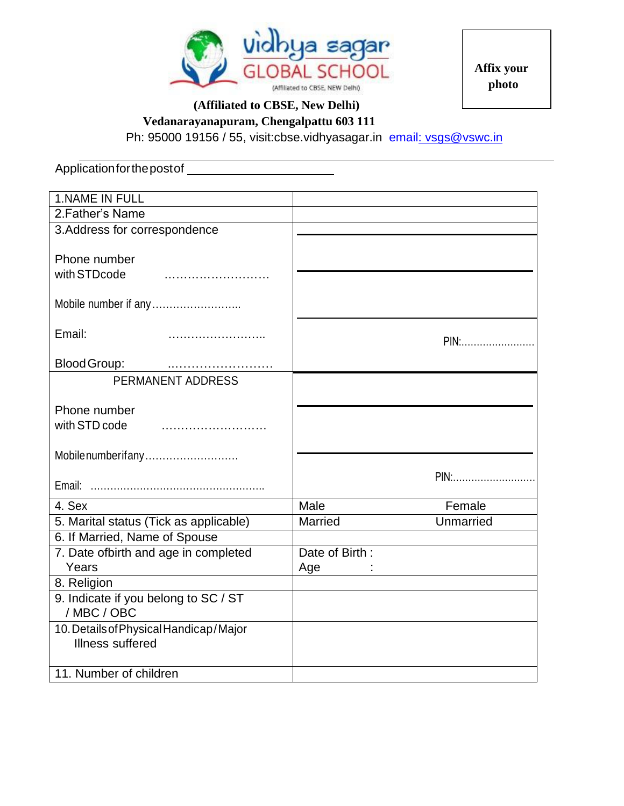

**Affix your photo**

## **(Affiliated to CBSE, New Delhi)**

## **Vedanarayanapuram, Chengalpattu 603 111**

Ph: 95000 19156 / 55, visit:cbse.vidhyasagar.in [email:](mailto:%20%20email:) [vsgs@vswc.in](mailto:vsgs@vswc.in)

| Application for the post of ________                       |                |           |
|------------------------------------------------------------|----------------|-----------|
| <b>1.NAME IN FULL</b>                                      |                |           |
| 2. Father's Name                                           |                |           |
| 3. Address for correspondence                              |                |           |
| Phone number<br>with STDcode                               |                |           |
|                                                            |                |           |
| Email:                                                     |                | PIN:      |
| <b>Blood Group:</b>                                        |                |           |
| PERMANENT ADDRESS                                          |                |           |
| Phone number<br>with STD code                              |                |           |
|                                                            |                |           |
|                                                            |                | PIN:      |
| 4. Sex                                                     | Male           | Female    |
| 5. Marital status (Tick as applicable)                     | <b>Married</b> | Unmarried |
| 6. If Married, Name of Spouse                              |                |           |
| 7. Date ofbirth and age in completed                       | Date of Birth: |           |
| Years<br>8. Religion                                       | Age            |           |
| 9. Indicate if you belong to SC / ST                       |                |           |
| /MBC/OBC                                                   |                |           |
| 10. Details of Physical Handicap/Major<br>Illness suffered |                |           |
| 11. Number of children                                     |                |           |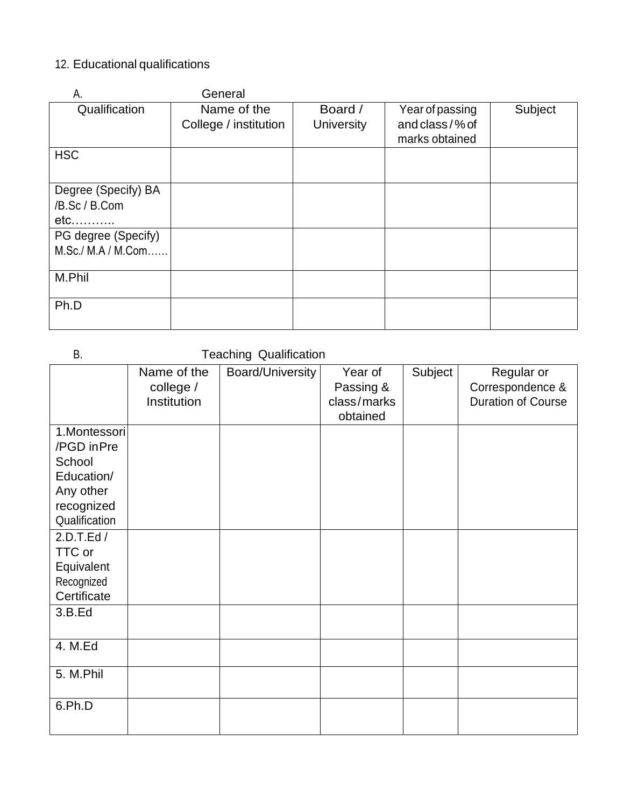## 12. Educational qualifications

| А.                  | General               |                   |                 |         |
|---------------------|-----------------------|-------------------|-----------------|---------|
| Qualification       | Name of the           | Board /           | Year of passing | Subject |
|                     | College / institution | <b>University</b> | and class/% of  |         |
|                     |                       |                   | marks obtained  |         |
| <b>HSC</b>          |                       |                   |                 |         |
|                     |                       |                   |                 |         |
| Degree (Specify) BA |                       |                   |                 |         |
| /B.Sc / B.Com       |                       |                   |                 |         |
| $etc.$              |                       |                   |                 |         |
| PG degree (Specify) |                       |                   |                 |         |
| M.Sc./ M.A / M.Com  |                       |                   |                 |         |
|                     |                       |                   |                 |         |
| M.Phil              |                       |                   |                 |         |
|                     |                       |                   |                 |         |
| Ph.D                |                       |                   |                 |         |
|                     |                       |                   |                 |         |

B. Teaching Qualification Name of the college / Institution Board/University Year of Passing & class/marks obtained Subject Regular or Correspondence & Duration of Course 1.Montessori /PGD inPre **School** Education/ Any other recognized **Qualification** 2.D.T.Ed / TTC or Equivalent Recognized **Certificate** 3.B.Ed 4. M.Ed 5. M.Phil 6.Ph.D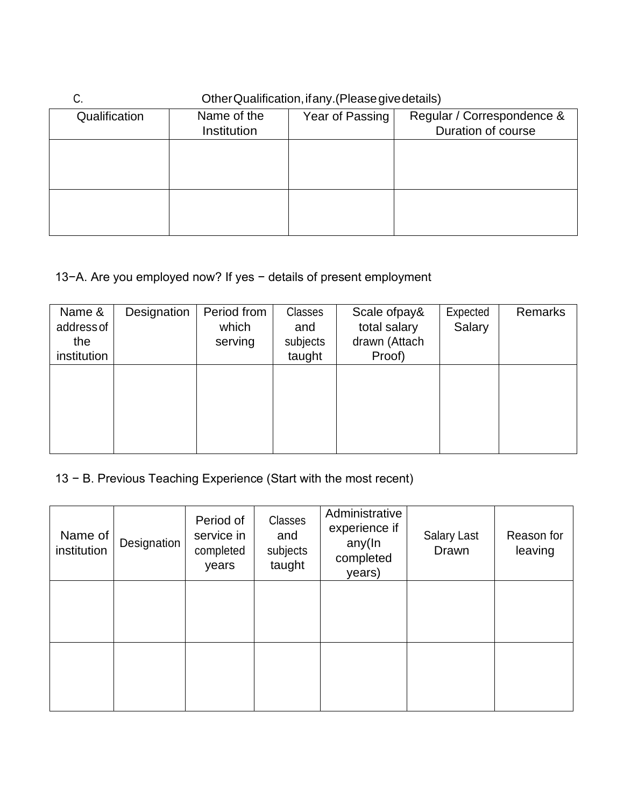| C.            | Other Qualification, if any. (Please give details) |                 |                                                  |  |
|---------------|----------------------------------------------------|-----------------|--------------------------------------------------|--|
| Qualification | Name of the<br>Institution                         | Year of Passing | Regular / Correspondence &<br>Duration of course |  |
|               |                                                    |                 |                                                  |  |
|               |                                                    |                 |                                                  |  |
|               |                                                    |                 |                                                  |  |
|               |                                                    |                 |                                                  |  |

## 13−A. Are you employed now? If yes − details of present employment

| Name &<br>address of<br>the<br>institution | Designation | Period from<br>which<br>serving | <b>Classes</b><br>and<br>subjects<br>taught | Scale of pay &<br>total salary<br>drawn (Attach<br>Proof) | Expected<br>Salary | Remarks |
|--------------------------------------------|-------------|---------------------------------|---------------------------------------------|-----------------------------------------------------------|--------------------|---------|
|                                            |             |                                 |                                             |                                                           |                    |         |

13 − B. Previous Teaching Experience (Start with the most recent)

| Name of<br>institution | Designation | Period of<br>service in<br>completed<br>years | Classes<br>and<br>subjects<br>taught | Administrative<br>experience if<br>any(In<br>completed<br>years) | <b>Salary Last</b><br>Drawn | Reason for<br>leaving |
|------------------------|-------------|-----------------------------------------------|--------------------------------------|------------------------------------------------------------------|-----------------------------|-----------------------|
|                        |             |                                               |                                      |                                                                  |                             |                       |
|                        |             |                                               |                                      |                                                                  |                             |                       |